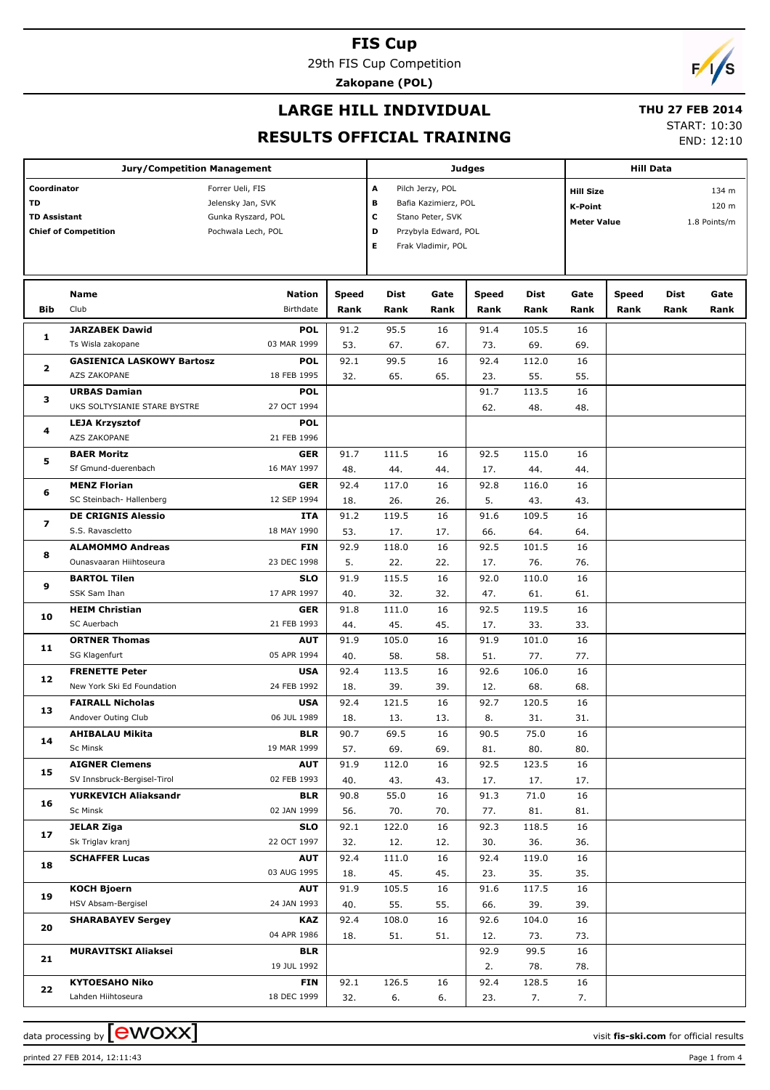29th FIS Cup Competition

**Zakopane (POL)**

## $\sqrt{2}$

#### **LARGE HILL INDIVIDUAL**

#### **THU 27 FEB 2014**

**RESULTS OFFICIAL TRAINING**

START: 10:30 END: 12:10

|                                             | <b>Jury/Competition Management</b> |                            |                  | <b>Judges</b> | <b>Hill Data</b>     |                  |              |                    |               |              |              |
|---------------------------------------------|------------------------------------|----------------------------|------------------|---------------|----------------------|------------------|--------------|--------------------|---------------|--------------|--------------|
| Coordinator                                 |                                    | A                          | Pilch Jerzy, POL |               |                      | <b>Hill Size</b> |              |                    | 134 m         |              |              |
| Forrer Ueli, FIS<br>TD<br>Jelensky Jan, SVK |                                    |                            |                  | в             | Bafia Kazimierz, POL |                  | K-Point      |                    |               | 120 m        |              |
| <b>TD Assistant</b>                         |                                    | Gunka Ryszard, POL         |                  | c             | Stano Peter, SVK     |                  |              | <b>Meter Value</b> |               |              |              |
|                                             | <b>Chief of Competition</b>        | Pochwala Lech, POL         |                  | D             | Przybyla Edward, POL |                  |              |                    |               |              | 1.8 Points/m |
|                                             |                                    |                            |                  | Е             | Frak Vladimir, POL   |                  |              |                    |               |              |              |
|                                             |                                    |                            |                  |               |                      |                  |              |                    |               |              |              |
|                                             |                                    |                            |                  |               |                      |                  |              |                    |               |              |              |
| Bib                                         | Name<br>Club                       | Nation<br><b>Birthdate</b> | Speed<br>Rank    | Dist<br>Rank  | Gate<br>Rank         | Speed<br>Rank    | Dist<br>Rank | Gate<br>Rank       | Speed<br>Rank | Dist<br>Rank | Gate<br>Rank |
|                                             | <b>JARZABEK Dawid</b>              |                            |                  |               |                      |                  |              |                    |               |              |              |
| 1                                           | Ts Wisla zakopane                  | <b>POL</b><br>03 MAR 1999  | 91.2<br>53.      | 95.5<br>67.   | 16<br>67.            | 91.4<br>73.      | 105.5<br>69. | 16<br>69.          |               |              |              |
|                                             | <b>GASIENICA LASKOWY Bartosz</b>   | <b>POL</b>                 | 92.1             | 99.5          | 16                   | 92.4             | 112.0        | 16                 |               |              |              |
| 2                                           | AZS ZAKOPANE                       | 18 FEB 1995                | 32.              | 65.           | 65.                  | 23.              | 55.          | 55.                |               |              |              |
|                                             | <b>URBAS Damian</b>                | <b>POL</b>                 |                  |               |                      | 91.7             | 113.5        | 16                 |               |              |              |
| з                                           | UKS SOLTYSIANIE STARE BYSTRE       | 27 OCT 1994                |                  |               |                      | 62.              | 48.          | 48.                |               |              |              |
|                                             | <b>LEJA Krzysztof</b>              | <b>POL</b>                 |                  |               |                      |                  |              |                    |               |              |              |
| 4                                           | AZS ZAKOPANE                       | 21 FEB 1996                |                  |               |                      |                  |              |                    |               |              |              |
|                                             | <b>BAER Moritz</b>                 | <b>GER</b>                 | 91.7             | 111.5         | 16                   | 92.5             | 115.0        | 16                 |               |              |              |
| 5                                           | Sf Gmund-duerenbach                | 16 MAY 1997                | 48.              | 44.           | 44.                  | 17.              | 44.          | 44.                |               |              |              |
|                                             | <b>MENZ Florian</b>                | <b>GER</b>                 | 92.4             | 117.0         | 16                   | 92.8             | 116.0        | 16                 |               |              |              |
| 6                                           | SC Steinbach- Hallenberg           | 12 SEP 1994                | 18.              | 26.           | 26.                  | 5.               | 43.          | 43.                |               |              |              |
|                                             | <b>DE CRIGNIS Alessio</b>          | ITA                        | 91.2             | 119.5         | 16                   | 91.6             | 109.5        | 16                 |               |              |              |
| 7<br>8                                      | S.S. Ravascletto                   | 18 MAY 1990                | 53.              | 17.           | 17.                  | 66.              | 64.          | 64.                |               |              |              |
|                                             | <b>ALAMOMMO Andreas</b>            | <b>FIN</b>                 | 92.9             | 118.0         | 16                   | 92.5             | 101.5        | 16                 |               |              |              |
|                                             | Ounasvaaran Hiihtoseura            | 23 DEC 1998                | 5.               | 22.           | 22.                  | 17.              | 76.          | 76.                |               |              |              |
| 9                                           | <b>BARTOL Tilen</b>                | <b>SLO</b>                 | 91.9             | 115.5         | 16                   | 92.0             | 110.0        | 16                 |               |              |              |
|                                             | SSK Sam Ihan                       | 17 APR 1997                | 40.              | 32.           | 32.                  | 47.              | 61.          | 61.                |               |              |              |
| 10                                          | <b>HEIM Christian</b>              | <b>GER</b>                 | 91.8             | 111.0         | 16                   | 92.5             | 119.5        | 16                 |               |              |              |
|                                             | SC Auerbach                        | 21 FEB 1993                | 44.              | 45.           | 45.                  | 17.              | 33.          | 33.                |               |              |              |
| 11                                          | <b>ORTNER Thomas</b>               | <b>AUT</b>                 | 91.9             | 105.0         | 16                   | 91.9             | 101.0        | 16                 |               |              |              |
|                                             | SG Klagenfurt                      | 05 APR 1994                | 40.              | 58.           | 58.                  | 51.              | 77.          | 77.                |               |              |              |
| 12                                          | <b>FRENETTE Peter</b>              | <b>USA</b>                 | 92.4             | 113.5         | 16                   | 92.6             | 106.0        | 16                 |               |              |              |
|                                             | New York Ski Ed Foundation         | 24 FEB 1992                | 18.              | 39.           | 39.                  | 12.              | 68.          | 68.                |               |              |              |
| 13                                          | <b>FAIRALL Nicholas</b>            | <b>USA</b>                 | 92.4             | 121.5         | 16                   | 92.7             | 120.5        | 16                 |               |              |              |
|                                             | Andover Outing Club                | 06 JUL 1989                | 18.              | 13.           | 13.                  | 8.               | 31.          | 31.                |               |              |              |
| 14                                          | <b>AHIBALAU Mikita</b>             | <b>BLR</b>                 | 90.7             | 69.5          | 16                   | 90.5             | 75.0         | 16                 |               |              |              |
|                                             | Sc Minsk<br><b>AIGNER Clemens</b>  | 19 MAR 1999                | 57.              | 69.           | 69.<br>16            | 81.              | 80.          | 80.                |               |              |              |
| 15                                          | SV Innsbruck-Bergisel-Tirol        | <b>AUT</b><br>02 FEB 1993  | 91.9<br>40.      | 112.0<br>43.  | 43.                  | 92.5<br>17.      | 123.5<br>17. | 16                 |               |              |              |
|                                             | YURKEVICH Aliaksandr               | <b>BLR</b>                 | 90.8             | 55.0          | 16                   | 91.3             | 71.0         | 17.<br>16          |               |              |              |
| 16                                          | Sc Minsk                           | 02 JAN 1999                | 56.              | 70.           | 70.                  | 77.              | 81.          | 81.                |               |              |              |
|                                             | <b>JELAR Ziga</b>                  | <b>SLO</b>                 | 92.1             | 122.0         | 16                   | 92.3             | 118.5        | 16                 |               |              |              |
| 17                                          | Sk Triglav kranj                   | 22 OCT 1997                | 32.              | 12.           | 12.                  | 30.              | 36.          | 36.                |               |              |              |
|                                             | <b>SCHAFFER Lucas</b>              | <b>AUT</b>                 | 92.4             | 111.0         | 16                   | 92.4             | 119.0        | 16                 |               |              |              |
| 18                                          |                                    | 03 AUG 1995                | 18.              | 45.           | 45.                  | 23.              | 35.          | 35.                |               |              |              |
|                                             | <b>KOCH Bjoern</b>                 | <b>AUT</b>                 | 91.9             | 105.5         | 16                   | 91.6             | 117.5        | 16                 |               |              |              |
| 19                                          | HSV Absam-Bergisel                 | 24 JAN 1993                | 40.              | 55.           | 55.                  | 66.              | 39.          | 39.                |               |              |              |
|                                             | <b>SHARABAYEV Sergey</b>           | <b>KAZ</b>                 | 92.4             | 108.0         | 16                   | 92.6             | 104.0        | 16                 |               |              |              |
| 20                                          |                                    | 04 APR 1986                | 18.              | 51.           | 51.                  | 12.              | 73.          | 73.                |               |              |              |
|                                             | <b>MURAVITSKI Aliaksei</b>         | <b>BLR</b>                 |                  |               |                      | 92.9             | 99.5         | 16                 |               |              |              |
| 21                                          |                                    | 19 JUL 1992                |                  |               |                      | 2.               | 78.          | 78.                |               |              |              |
| 22                                          | <b>KYTOESAHO Niko</b>              | <b>FIN</b>                 | 92.1             | 126.5         | 16                   | 92.4             | 128.5        | 16                 |               |              |              |
|                                             | Lahden Hiihtoseura                 | 18 DEC 1999                | 32.              | 6.            | 6.                   | 23.              | 7.           | 7.                 |               |              |              |

data processing by **CWOXX** and the set of the set of the set of the set of the set of the set of the set of the set of the set of the set of the set of the set of the set of the set of the set of the set of the set of the

printed 27 FEB 2014, 12:11:43 Page 1 from 4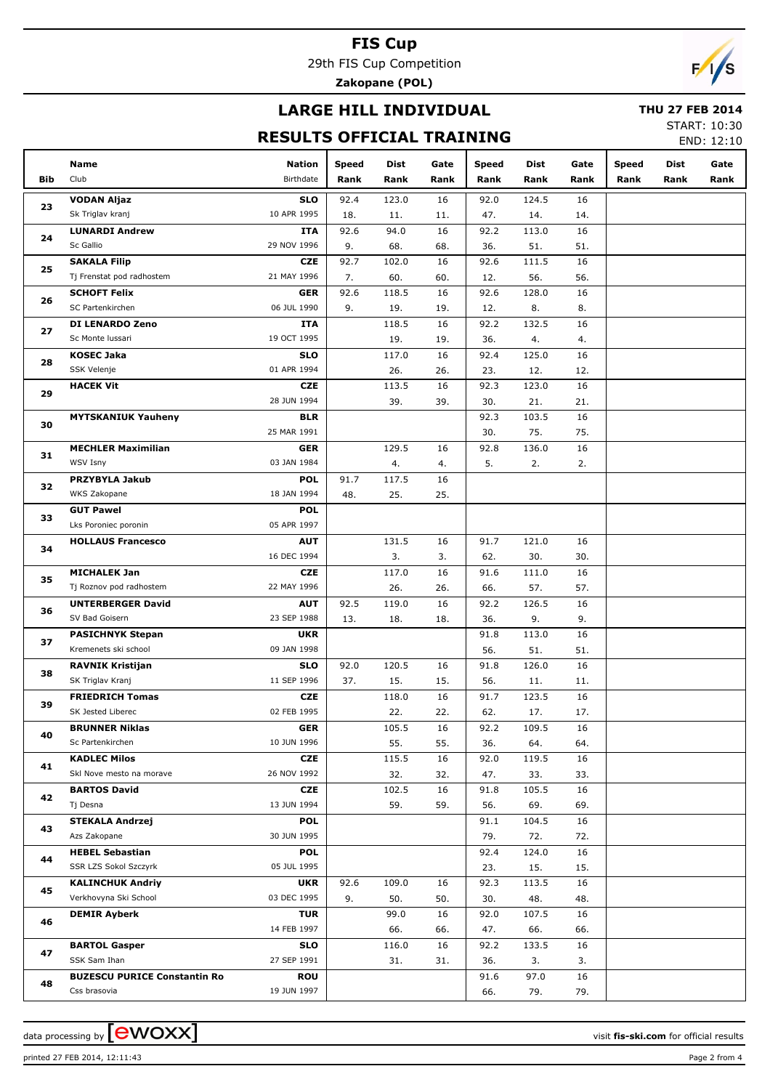29th FIS Cup Competition

**Zakopane (POL)**

## **LARGE HILL INDIVIDUAL**

#### **THU 27 FEB 2014**

#### **RESULTS OFFICIAL TRAINING**

START: 10:30 END: 12:10

|     | Name                                                | Nation                    | <b>Speed</b> | Dist         | Gate      | <b>Speed</b> | Dist         | Gate      | <b>Speed</b> | Dist | Gate |
|-----|-----------------------------------------------------|---------------------------|--------------|--------------|-----------|--------------|--------------|-----------|--------------|------|------|
| Bib | Club                                                | Birthdate                 | Rank         | Rank         | Rank      | Rank         | Rank         | Rank      | Rank         | Rank | Rank |
|     | <b>VODAN Aljaz</b>                                  | <b>SLO</b>                | 92.4         | 123.0        | 16        | 92.0         | 124.5        | 16        |              |      |      |
| 23  | Sk Triglav kranj                                    | 10 APR 1995               | 18.          | 11.          | 11.       | 47.          | 14.          | 14.       |              |      |      |
| 24  | <b>LUNARDI Andrew</b>                               | ITA                       | 92.6         | 94.0         | 16        | 92.2         | 113.0        | 16        |              |      |      |
|     | Sc Gallio                                           | 29 NOV 1996               | 9.           | 68.          | 68.       | 36.          | 51.          | 51.       |              |      |      |
| 25  | <b>SAKALA Filip</b>                                 | <b>CZE</b>                | 92.7         | 102.0        | 16        | 92.6         | 111.5        | 16        |              |      |      |
|     | Tj Frenstat pod radhostem                           | 21 MAY 1996               | 7.           | 60.          | 60.       | 12.          | 56.          | 56.       |              |      |      |
| 26  | <b>SCHOFT Felix</b>                                 | <b>GER</b>                | 92.6         | 118.5        | 16        | 92.6         | 128.0        | 16        |              |      |      |
|     | SC Partenkirchen                                    | 06 JUL 1990               | 9.           | 19.          | 19.       | 12.          | 8.           | 8.        |              |      |      |
| 27  | DI LENARDO Zeno                                     | ITA                       |              | 118.5        | 16        | 92.2         | 132.5        | 16        |              |      |      |
|     | Sc Monte Iussari                                    | 19 OCT 1995               |              | 19.          | 19.       | 36.          | 4.           | 4.        |              |      |      |
| 28  | <b>KOSEC Jaka</b>                                   | <b>SLO</b>                |              | 117.0        | 16        | 92.4         | 125.0        | 16        |              |      |      |
|     | SSK Velenje                                         | 01 APR 1994               |              | 26.          | 26.       | 23.          | 12.          | 12.       |              |      |      |
| 29  | <b>HACEK Vit</b>                                    | <b>CZE</b>                |              | 113.5        | 16        | 92.3         | 123.0        | 16        |              |      |      |
|     |                                                     | 28 JUN 1994<br><b>BLR</b> |              | 39.          | 39.       | 30.<br>92.3  | 21.<br>103.5 | 21.<br>16 |              |      |      |
| 30  | <b>MYTSKANIUK Yauheny</b>                           | 25 MAR 1991               |              |              |           | 30.          | 75.          | 75.       |              |      |      |
|     | <b>MECHLER Maximilian</b>                           | <b>GER</b>                |              | 129.5        | 16        | 92.8         | 136.0        | 16        |              |      |      |
| 31  | WSV Isny                                            | 03 JAN 1984               |              | 4.           | 4.        | 5.           | 2.           | 2.        |              |      |      |
|     | PRZYBYLA Jakub                                      | <b>POL</b>                | 91.7         | 117.5        | 16        |              |              |           |              |      |      |
| 32  | WKS Zakopane                                        | 18 JAN 1994               | 48.          | 25.          | 25.       |              |              |           |              |      |      |
|     | <b>GUT Pawel</b>                                    | <b>POL</b>                |              |              |           |              |              |           |              |      |      |
| 33  | Lks Poroniec poronin                                | 05 APR 1997               |              |              |           |              |              |           |              |      |      |
| 34  | <b>HOLLAUS Francesco</b>                            | <b>AUT</b>                |              | 131.5        | 16        | 91.7         | 121.0        | 16        |              |      |      |
|     |                                                     | 16 DEC 1994               |              | 3.           | 3.        | 62.          | 30.          | 30.       |              |      |      |
| 35  | <b>MICHALEK Jan</b>                                 | <b>CZE</b>                |              | 117.0        | 16        | 91.6         | 111.0        | 16        |              |      |      |
|     | Tj Roznov pod radhostem                             | 22 MAY 1996               |              | 26.          | 26.       | 66.          | 57.          | 57.       |              |      |      |
| 36  | <b>UNTERBERGER David</b>                            | <b>AUT</b>                | 92.5         | 119.0        | 16        | 92.2         | 126.5        | 16        |              |      |      |
|     | SV Bad Goisern                                      | 23 SEP 1988               | 13.          | 18.          | 18.       | 36.          | 9.           | 9.        |              |      |      |
| 37  | <b>PASICHNYK Stepan</b>                             | <b>UKR</b>                |              |              |           | 91.8         | 113.0        | 16        |              |      |      |
|     | Kremenets ski school                                | 09 JAN 1998               |              |              |           | 56.          | 51.          | 51.       |              |      |      |
| 38  | <b>RAVNIK Kristijan</b>                             | <b>SLO</b>                | 92.0         | 120.5        | 16        | 91.8         | 126.0        | 16        |              |      |      |
|     | SK Triglav Kranj<br><b>FRIEDRICH Tomas</b>          | 11 SEP 1996<br><b>CZE</b> | 37.          | 15.          | 15.<br>16 | 56.<br>91.7  | 11.<br>123.5 | 11.<br>16 |              |      |      |
| 39  | SK Jested Liberec                                   | 02 FEB 1995               |              | 118.0<br>22. | 22.       | 62.          | 17.          | 17.       |              |      |      |
|     | <b>BRUNNER Niklas</b>                               | <b>GER</b>                |              | 105.5        | 16        | 92.2         | 109.5        | 16        |              |      |      |
| 40  | Sc Partenkirchen                                    | 10 JUN 1996               |              | 55.          | 55.       | 36.          | 64.          | 64.       |              |      |      |
|     | <b>KADLEC Milos</b>                                 | CZE                       |              | 115.5        | 16        | 92.0         | 119.5        | 16        |              |      |      |
| 41  | Skl Nove mesto na morave                            | 26 NOV 1992               |              | 32.          | 32.       | 47.          | 33.          | 33.       |              |      |      |
|     | <b>BARTOS David</b>                                 | CZE                       |              | 102.5        | 16        | 91.8         | 105.5        | 16        |              |      |      |
| 42  | Tj Desna                                            | 13 JUN 1994               |              | 59.          | 59.       | 56.          | 69.          | 69.       |              |      |      |
|     | <b>STEKALA Andrzej</b>                              | <b>POL</b>                |              |              |           | 91.1         | 104.5        | 16        |              |      |      |
| 43  | Azs Zakopane                                        | 30 JUN 1995               |              |              |           | 79.          | 72.          | 72.       |              |      |      |
| 44  | <b>HEBEL Sebastian</b>                              | <b>POL</b>                |              |              |           | 92.4         | 124.0        | 16        |              |      |      |
|     | SSR LZS Sokol Szczyrk                               | 05 JUL 1995               |              |              |           | 23.          | 15.          | 15.       |              |      |      |
| 45  | <b>KALINCHUK Andriy</b>                             | <b>UKR</b>                | 92.6         | 109.0        | 16        | 92.3         | 113.5        | 16        |              |      |      |
|     | Verkhovyna Ski School                               | 03 DEC 1995               | 9.           | 50.          | 50.       | 30.          | 48.          | 48.       |              |      |      |
| 46  | <b>DEMIR Ayberk</b>                                 | <b>TUR</b>                |              | 99.0         | 16        | 92.0         | 107.5        | 16        |              |      |      |
|     |                                                     | 14 FEB 1997               |              | 66.          | 66.       | 47.          | 66.          | 66.       |              |      |      |
| 47  | <b>BARTOL Gasper</b>                                | <b>SLO</b>                |              | 116.0        | 16        | 92.2         | 133.5        | 16        |              |      |      |
|     | SSK Sam Ihan                                        | 27 SEP 1991               |              | 31.          | 31.       | 36.          | 3.           | 3.        |              |      |      |
| 48  | <b>BUZESCU PURICE Constantin Ro</b><br>Css brasovia | ROU<br>19 JUN 1997        |              |              |           | 91.6         | 97.0         | 16        |              |      |      |
|     |                                                     |                           |              |              |           | 66.          | 79.          | 79.       |              |      |      |

data processing by **CWOXX**  $\blacksquare$ 

printed 27 FEB 2014, 12:11:43 Page 2 from 4

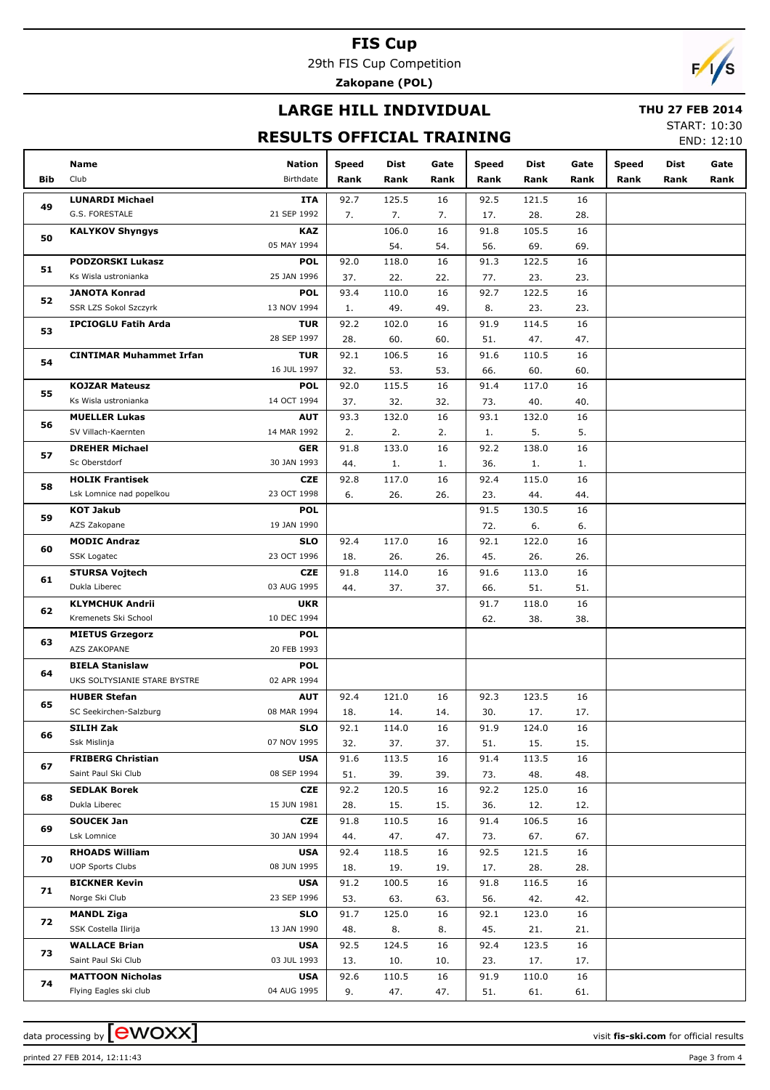29th FIS Cup Competition

**Zakopane (POL)**

## **LARGE HILL INDIVIDUAL**

#### **THU 27 FEB 2014**

## **RESULTS OFFICIAL TRAINING**

START: 10:30 END: 12:10

|          | <b>Name</b>                                   | <b>Nation</b>             | <b>Speed</b> | Dist  | Gate | Speed | <b>Dist</b> | Gate | Speed | Dist | Gate |
|----------|-----------------------------------------------|---------------------------|--------------|-------|------|-------|-------------|------|-------|------|------|
| Bib      | Club                                          | <b>Birthdate</b>          | Rank         | Rank  | Rank | Rank  | Rank        | Rank | Rank  | Rank | Rank |
|          | <b>LUNARDI Michael</b>                        | ITA                       | 92.7         | 125.5 | 16   | 92.5  | 121.5       | 16   |       |      |      |
| 49       | G.S. FORESTALE                                | 21 SEP 1992               | 7.           | 7.    | 7.   | 17.   | 28.         | 28.  |       |      |      |
|          | <b>KALYKOV Shyngys</b>                        | KAZ                       |              | 106.0 | 16   | 91.8  | 105.5       | 16   |       |      |      |
| 50       |                                               | 05 MAY 1994               |              | 54.   | 54.  | 56.   | 69.         | 69.  |       |      |      |
|          | <b>PODZORSKI Lukasz</b>                       | <b>POL</b>                | 92.0         | 118.0 | 16   | 91.3  | 122.5       | 16   |       |      |      |
| 51       | Ks Wisla ustronianka                          | 25 JAN 1996               | 37.          | 22.   | 22.  | 77.   | 23.         | 23.  |       |      |      |
|          | <b>JANOTA Konrad</b>                          | <b>POL</b>                | 93.4         | 110.0 | 16   | 92.7  | 122.5       | 16   |       |      |      |
| 52       | <b>SSR LZS Sokol Szczyrk</b>                  | 13 NOV 1994               | 1.           | 49.   | 49.  | 8.    | 23.         | 23.  |       |      |      |
|          | <b>IPCIOGLU Fatih Arda</b>                    | <b>TUR</b>                | 92.2         | 102.0 | 16   | 91.9  | 114.5       | 16   |       |      |      |
| 53       |                                               | 28 SEP 1997               | 28.          | 60.   | 60.  | 51.   | 47.         | 47.  |       |      |      |
|          | <b>CINTIMAR Muhammet Irfan</b>                | <b>TUR</b>                | 92.1         | 106.5 | 16   | 91.6  | 110.5       | 16   |       |      |      |
| 54       |                                               | 16 JUL 1997               | 32.          | 53.   | 53.  | 66.   | 60.         | 60.  |       |      |      |
| 55       | <b>KOJZAR Mateusz</b>                         | <b>POL</b>                | 92.0         | 115.5 | 16   | 91.4  | 117.0       | 16   |       |      |      |
|          | Ks Wisla ustronianka                          | 14 OCT 1994               | 37.          | 32.   | 32.  | 73.   | 40.         | 40.  |       |      |      |
| 56       | <b>MUELLER Lukas</b>                          | <b>AUT</b>                | 93.3         | 132.0 | 16   | 93.1  | 132.0       | 16   |       |      |      |
|          | SV Villach-Kaernten                           | 14 MAR 1992               | 2.           | 2.    | 2.   | 1.    | 5.          | 5.   |       |      |      |
| 57       | <b>DREHER Michael</b>                         | <b>GER</b>                | 91.8         | 133.0 | 16   | 92.2  | 138.0       | 16   |       |      |      |
|          | Sc Oberstdorf                                 | 30 JAN 1993               | 44.          | 1.    | 1.   | 36.   | 1.          | 1.   |       |      |      |
| 58       | <b>HOLIK Frantisek</b>                        | <b>CZE</b>                | 92.8         | 117.0 | 16   | 92.4  | 115.0       | 16   |       |      |      |
|          | Lsk Lomnice nad popelkou                      | 23 OCT 1998               | 6.           | 26.   | 26.  | 23.   | 44.         | 44.  |       |      |      |
| 59       | <b>KOT Jakub</b>                              | <b>POL</b>                |              |       |      | 91.5  | 130.5       | 16   |       |      |      |
| 60<br>61 | AZS Zakopane                                  | 19 JAN 1990               |              |       |      | 72.   | 6.          | 6.   |       |      |      |
|          | <b>MODIC Andraz</b>                           | <b>SLO</b>                | 92.4         | 117.0 | 16   | 92.1  | 122.0       | 16   |       |      |      |
|          | SSK Logatec                                   | 23 OCT 1996               | 18.          | 26.   | 26.  | 45.   | 26.         | 26.  |       |      |      |
|          | <b>STURSA Vojtech</b>                         | <b>CZE</b>                | 91.8         | 114.0 | 16   | 91.6  | 113.0       | 16   |       |      |      |
|          | Dukla Liberec                                 | 03 AUG 1995               | 44.          | 37.   | 37.  | 66.   | 51.         | 51.  |       |      |      |
| 62       | <b>KLYMCHUK Andrii</b>                        | <b>UKR</b>                |              |       |      | 91.7  | 118.0       | 16   |       |      |      |
|          | Kremenets Ski School                          | 10 DEC 1994               |              |       |      | 62.   | 38.         | 38.  |       |      |      |
| 63       | <b>MIETUS Grzegorz</b><br><b>AZS ZAKOPANE</b> | <b>POL</b><br>20 FEB 1993 |              |       |      |       |             |      |       |      |      |
|          | <b>BIELA Stanislaw</b>                        | <b>POL</b>                |              |       |      |       |             |      |       |      |      |
| 64       | UKS SOLTYSIANIE STARE BYSTRE                  | 02 APR 1994               |              |       |      |       |             |      |       |      |      |
|          | <b>HUBER Stefan</b>                           | <b>AUT</b>                | 92.4         | 121.0 | 16   | 92.3  | 123.5       | 16   |       |      |      |
| 65       | SC Seekirchen-Salzburg                        | 08 MAR 1994               | 18.          | 14.   | 14.  | 30.   | 17.         | 17.  |       |      |      |
|          | SILIH Zak                                     | SLO                       | 92.1         | 114.0 | 16   | 91.9  | 124.0       | 16   |       |      |      |
| 66       | Ssk Mislinja                                  | 07 NOV 1995               | 32.          | 37.   | 37.  | 51.   | 15.         | 15.  |       |      |      |
|          | <b>FRIBERG Christian</b>                      | <b>USA</b>                | 91.6         | 113.5 | 16   | 91.4  | 113.5       | 16   |       |      |      |
| 67       | Saint Paul Ski Club                           | 08 SEP 1994               | 51.          | 39.   | 39.  | 73.   | 48.         | 48.  |       |      |      |
|          | <b>SEDLAK Borek</b>                           | CZE                       | 92.2         | 120.5 | 16   | 92.2  | 125.0       | 16   |       |      |      |
| 68       | Dukla Liberec                                 | 15 JUN 1981               | 28.          | 15.   | 15.  | 36.   | 12.         | 12.  |       |      |      |
| 69       | <b>SOUCEK Jan</b>                             | CZE                       | 91.8         | 110.5 | 16   | 91.4  | 106.5       | 16   |       |      |      |
|          | Lsk Lomnice                                   | 30 JAN 1994               | 44.          | 47.   | 47.  | 73.   | 67.         | 67.  |       |      |      |
| 70       | <b>RHOADS William</b>                         | <b>USA</b>                | 92.4         | 118.5 | 16   | 92.5  | 121.5       | 16   |       |      |      |
|          | <b>UOP Sports Clubs</b>                       | 08 JUN 1995               | 18.          | 19.   | 19.  | 17.   | 28.         | 28.  |       |      |      |
| 71       | <b>BICKNER Kevin</b>                          | <b>USA</b>                | 91.2         | 100.5 | 16   | 91.8  | 116.5       | 16   |       |      |      |
|          | Norge Ski Club                                | 23 SEP 1996               | 53.          | 63.   | 63.  | 56.   | 42.         | 42.  |       |      |      |
| 72       | <b>MANDL Ziga</b>                             | <b>SLO</b>                | 91.7         | 125.0 | 16   | 92.1  | 123.0       | 16   |       |      |      |
|          | SSK Costella Ilirija                          | 13 JAN 1990               | 48.          | 8.    | 8.   | 45.   | 21.         | 21.  |       |      |      |
| 73       | <b>WALLACE Brian</b>                          | <b>USA</b>                | 92.5         | 124.5 | 16   | 92.4  | 123.5       | 16   |       |      |      |
|          | Saint Paul Ski Club                           | 03 JUL 1993               | 13.          | 10.   | 10.  | 23.   | 17.         | 17.  |       |      |      |
| 74       | <b>MATTOON Nicholas</b>                       | <b>USA</b>                | 92.6         | 110.5 | 16   | 91.9  | 110.0       | 16   |       |      |      |
|          | Flying Eagles ski club                        | 04 AUG 1995               | 9.           | 47.   | 47.  | 51.   | 61.         | 61.  |       |      |      |

data processing by **CWOXX**  $\blacksquare$